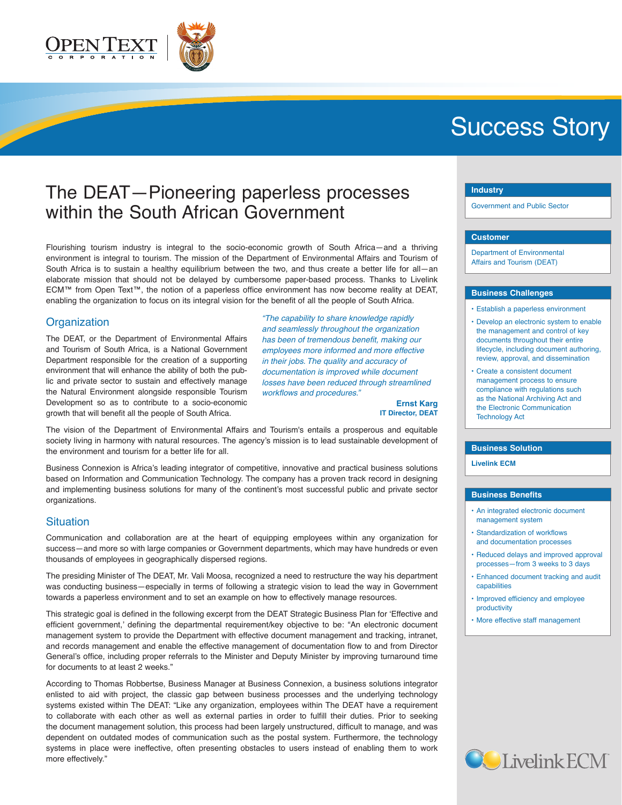

# Success Story

## The DEAT—Pioneering paperless processes within the South African Government

Flourishing tourism industry is integral to the socio-economic growth of South Africa—and a thriving environment is integral to tourism. The mission of the Department of Environmental Affairs and Tourism of South Africa is to sustain a healthy equilibrium between the two, and thus create a better life for all—an elaborate mission that should not be delayed by cumbersome paper-based process. Thanks to Livelink ECM™ from Open Text™, the notion of a paperless office environment has now become reality at DEAT, enabling the organization to focus on its integral vision for the benefit of all the people of South Africa.

## **Organization**

The DEAT, or the Department of Environmental Affairs and Tourism of South Africa, is a National Government Department responsible for the creation of a supporting environment that will enhance the ability of both the public and private sector to sustain and effectively manage the Natural Environment alongside responsible Tourism Development so as to contribute to a socio-economic growth that will benefit all the people of South Africa.

*"The capability to share knowledge rapidly and seamlessly throughout the organization has been of tremendous benefit, making our employees more informed and more effective in their jobs. The quality and accuracy of documentation is improved while document losses have been reduced through streamlined workflows and procedures."* 

> **Ernst Karg IT Director, DEAT**

The vision of the Department of Environmental Affairs and Tourism's entails a prosperous and equitable society living in harmony with natural resources. The agency's mission is to lead sustainable development of the environment and tourism for a better life for all.

Business Connexion is Africa's leading integrator of competitive, innovative and practical business solutions based on Information and Communication Technology. The company has a proven track record in designing and implementing business solutions for many of the continent's most successful public and private sector organizations.

### **Situation**

Communication and collaboration are at the heart of equipping employees within any organization for success—and more so with large companies or Government departments, which may have hundreds or even thousands of employees in geographically dispersed regions.

The presiding Minister of The DEAT, Mr. Vali Moosa, recognized a need to restructure the way his department was conducting business—especially in terms of following a strategic vision to lead the way in Government towards a paperless environment and to set an example on how to effectively manage resources.

This strategic goal is defined in the following excerpt from the DEAT Strategic Business Plan for 'Effective and efficient government,' defining the departmental requirement/key objective to be: "An electronic document management system to provide the Department with effective document management and tracking, intranet, and records management and enable the effective management of documentation flow to and from Director General's office, including proper referrals to the Minister and Deputy Minister by improving turnaround time for documents to at least 2 weeks."

According to Thomas Robbertse, Business Manager at Business Connexion, a business solutions integrator enlisted to aid with project, the classic gap between business processes and the underlying technology systems existed within The DEAT: "Like any organization, employees within The DEAT have a requirement to collaborate with each other as well as external parties in order to fulfill their duties. Prior to seeking the document management solution, this process had been largely unstructured, difficult to manage, and was dependent on outdated modes of communication such as the postal system. Furthermore, the technology systems in place were ineffective, often presenting obstacles to users instead of enabling them to work more effectively."

#### **Industry**

Government and Public Sector

#### **Customer**

Department of Environmental Affairs and Tourism (DEAT)

#### **Business Challenges**

- Establish a paperless environment
- Develop an electronic system to enable the management and control of key documents throughout their entire lifecycle, including document authoring, review, approval, and dissemination
- Create a consistent document management process to ensure compliance with regulations such as the National Archiving Act and the Electronic Communication Technology Act

#### **Business Solution**

#### **Livelink ECM**

#### **Business Benefits**

- An integrated electronic document management system
- Standardization of workflows and documentation processes
- Reduced delays and improved approval processes—from 3 weeks to 3 days
- Enhanced document tracking and audit capabilities
- Improved efficiency and employee productivity
- More effective staff management